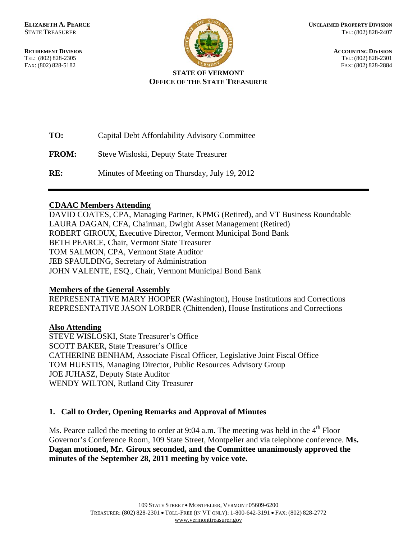

**RETIREMENT DIVISION** ACCOUNTING DIVISION TEL: (802) 828-2305 TEL: (802) 828-2301 FAX: (802) 828-5182 FAX: (802) 828-2884

#### **STATE OF VERMONT OFFICE OF THE STATE TREASURER**

**TO:** Capital Debt Affordability Advisory Committee **FROM:** Steve Wisloski, Deputy State Treasurer **RE:** Minutes of Meeting on Thursday, July 19, 2012

# **CDAAC Members Attending**

DAVID COATES, CPA, Managing Partner, KPMG (Retired), and VT Business Roundtable LAURA DAGAN, CFA, Chairman, Dwight Asset Management (Retired) ROBERT GIROUX, Executive Director, Vermont Municipal Bond Bank BETH PEARCE, Chair, Vermont State Treasurer TOM SALMON, CPA, Vermont State Auditor JEB SPAULDING, Secretary of Administration JOHN VALENTE, ESQ., Chair, Vermont Municipal Bond Bank

# **Members of the General Assembly**

REPRESENTATIVE MARY HOOPER (Washington), House Institutions and Corrections REPRESENTATIVE JASON LORBER (Chittenden), House Institutions and Corrections

# **Also Attending**

STEVE WISLOSKI, State Treasurer's Office SCOTT BAKER, State Treasurer's Office CATHERINE BENHAM, Associate Fiscal Officer, Legislative Joint Fiscal Office TOM HUESTIS, Managing Director, Public Resources Advisory Group JOE JUHASZ, Deputy State Auditor WENDY WILTON, Rutland City Treasurer

# **1. Call to Order, Opening Remarks and Approval of Minutes**

Ms. Pearce called the meeting to order at 9:04 a.m. The meeting was held in the  $4<sup>th</sup>$  Floor Governor's Conference Room, 109 State Street, Montpelier and via telephone conference. **Ms. Dagan motioned, Mr. Giroux seconded, and the Committee unanimously approved the minutes of the September 28, 2011 meeting by voice vote.**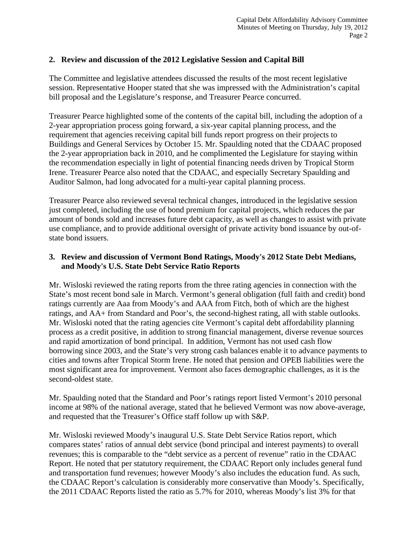# **2. Review and discussion of the 2012 Legislative Session and Capital Bill**

The Committee and legislative attendees discussed the results of the most recent legislative session. Representative Hooper stated that she was impressed with the Administration's capital bill proposal and the Legislature's response, and Treasurer Pearce concurred.

Treasurer Pearce highlighted some of the contents of the capital bill, including the adoption of a 2-year appropriation process going forward, a six-year capital planning process, and the requirement that agencies receiving capital bill funds report progress on their projects to Buildings and General Services by October 15. Mr. Spaulding noted that the CDAAC proposed the 2-year appropriation back in 2010, and he complimented the Legislature for staying within the recommendation especially in light of potential financing needs driven by Tropical Storm Irene. Treasurer Pearce also noted that the CDAAC, and especially Secretary Spaulding and Auditor Salmon, had long advocated for a multi-year capital planning process.

Treasurer Pearce also reviewed several technical changes, introduced in the legislative session just completed, including the use of bond premium for capital projects, which reduces the par amount of bonds sold and increases future debt capacity, as well as changes to assist with private use compliance, and to provide additional oversight of private activity bond issuance by out-ofstate bond issuers.

# **3. Review and discussion of Vermont Bond Ratings, Moody's 2012 State Debt Medians, and Moody's U.S. State Debt Service Ratio Reports**

Mr. Wisloski reviewed the rating reports from the three rating agencies in connection with the State's most recent bond sale in March. Vermont's general obligation (full faith and credit) bond ratings currently are Aaa from Moody's and AAA from Fitch, both of which are the highest ratings, and AA+ from Standard and Poor's, the second-highest rating, all with stable outlooks. Mr. Wisloski noted that the rating agencies cite Vermont's capital debt affordability planning process as a credit positive, in addition to strong financial management, diverse revenue sources and rapid amortization of bond principal. In addition, Vermont has not used cash flow borrowing since 2003, and the State's very strong cash balances enable it to advance payments to cities and towns after Tropical Storm Irene. He noted that pension and OPEB liabilities were the most significant area for improvement. Vermont also faces demographic challenges, as it is the second-oldest state.

Mr. Spaulding noted that the Standard and Poor's ratings report listed Vermont's 2010 personal income at 98% of the national average, stated that he believed Vermont was now above-average, and requested that the Treasurer's Office staff follow up with S&P.

Mr. Wisloski reviewed Moody's inaugural U.S. State Debt Service Ratios report, which compares states' ratios of annual debt service (bond principal and interest payments) to overall revenues; this is comparable to the "debt service as a percent of revenue" ratio in the CDAAC Report. He noted that per statutory requirement, the CDAAC Report only includes general fund and transportation fund revenues; however Moody's also includes the education fund. As such, the CDAAC Report's calculation is considerably more conservative than Moody's. Specifically, the 2011 CDAAC Reports listed the ratio as 5.7% for 2010, whereas Moody's list 3% for that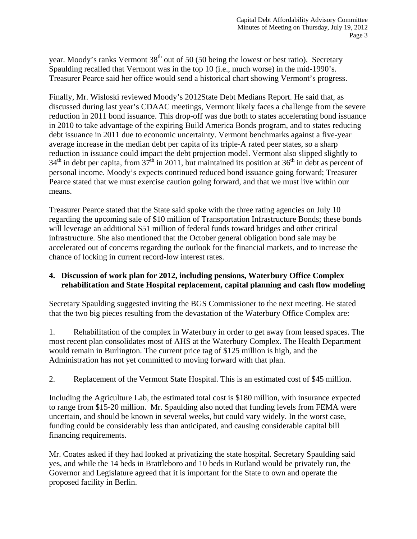year. Moody's ranks Vermont  $38<sup>th</sup>$  out of 50 (50 being the lowest or best ratio). Secretary Spaulding recalled that Vermont was in the top 10 (i.e., much worse) in the mid-1990's. Treasurer Pearce said her office would send a historical chart showing Vermont's progress.

Finally, Mr. Wisloski reviewed Moody's 2012State Debt Medians Report. He said that, as discussed during last year's CDAAC meetings, Vermont likely faces a challenge from the severe reduction in 2011 bond issuance. This drop-off was due both to states accelerating bond issuance in 2010 to take advantage of the expiring Build America Bonds program, and to states reducing debt issuance in 2011 due to economic uncertainty. Vermont benchmarks against a five-year average increase in the median debt per capita of its triple-A rated peer states, so a sharp reduction in issuance could impact the debt projection model. Vermont also slipped slightly to  $34<sup>th</sup>$  in debt per capita, from  $37<sup>th</sup>$  in 2011, but maintained its position at  $36<sup>th</sup>$  in debt as percent of personal income. Moody's expects continued reduced bond issuance going forward; Treasurer Pearce stated that we must exercise caution going forward, and that we must live within our means.

Treasurer Pearce stated that the State said spoke with the three rating agencies on July 10 regarding the upcoming sale of \$10 million of Transportation Infrastructure Bonds; these bonds will leverage an additional \$51 million of federal funds toward bridges and other critical infrastructure. She also mentioned that the October general obligation bond sale may be accelerated out of concerns regarding the outlook for the financial markets, and to increase the chance of locking in current record-low interest rates.

# **4. Discussion of work plan for 2012, including pensions, Waterbury Office Complex rehabilitation and State Hospital replacement, capital planning and cash flow modeling**

Secretary Spaulding suggested inviting the BGS Commissioner to the next meeting. He stated that the two big pieces resulting from the devastation of the Waterbury Office Complex are:

1. Rehabilitation of the complex in Waterbury in order to get away from leased spaces. The most recent plan consolidates most of AHS at the Waterbury Complex. The Health Department would remain in Burlington. The current price tag of \$125 million is high, and the Administration has not yet committed to moving forward with that plan.

2. Replacement of the Vermont State Hospital. This is an estimated cost of \$45 million.

Including the Agriculture Lab, the estimated total cost is \$180 million, with insurance expected to range from \$15-20 million. Mr. Spaulding also noted that funding levels from FEMA were uncertain, and should be known in several weeks, but could vary widely. In the worst case, funding could be considerably less than anticipated, and causing considerable capital bill financing requirements.

Mr. Coates asked if they had looked at privatizing the state hospital. Secretary Spaulding said yes, and while the 14 beds in Brattleboro and 10 beds in Rutland would be privately run, the Governor and Legislature agreed that it is important for the State to own and operate the proposed facility in Berlin.